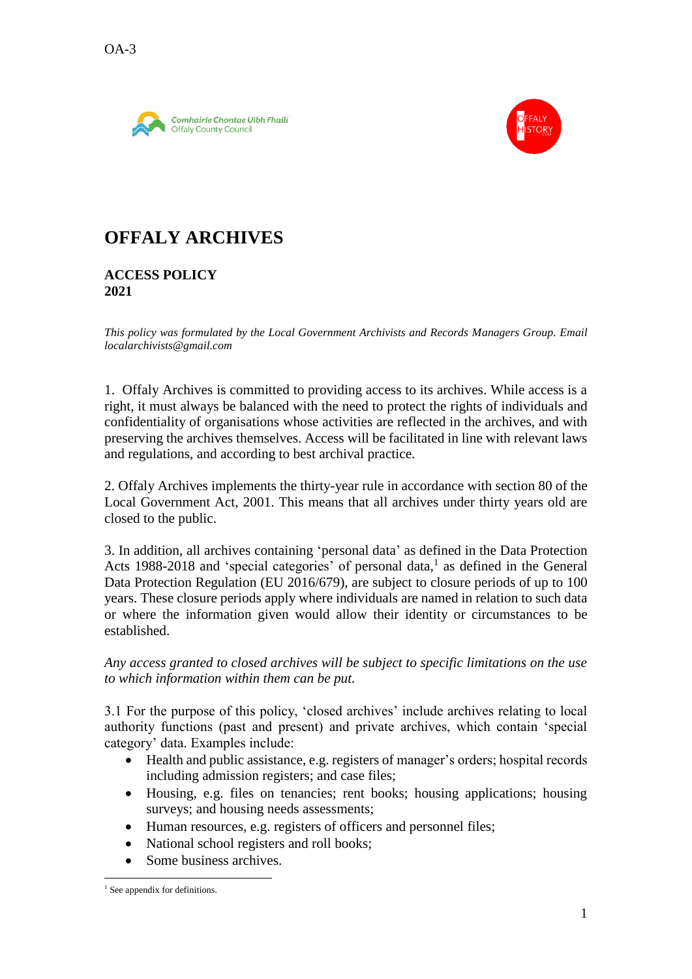



## **OFFALY ARCHIVES**

### **ACCESS POLICY 2021**

*This policy was formulated by the Local Government Archivists and Records Managers Group. Email localarchivists@gmail.com*

1. Offaly Archives is committed to providing access to its archives. While access is a right, it must always be balanced with the need to protect the rights of individuals and confidentiality of organisations whose activities are reflected in the archives, and with preserving the archives themselves. Access will be facilitated in line with relevant laws and regulations, and according to best archival practice.

2. Offaly Archives implements the thirty-year rule in accordance with section 80 of the Local Government Act, 2001. This means that all archives under thirty years old are closed to the public.

3. In addition, all archives containing 'personal data' as defined in the Data Protection Acts 1988-2018 and 'special categories' of personal data,<sup>1</sup> as defined in the General Data Protection Regulation (EU 2016/679), are subject to closure periods of up to 100 years. These closure periods apply where individuals are named in relation to such data or where the information given would allow their identity or circumstances to be established.

*Any access granted to closed archives will be subject to specific limitations on the use to which information within them can be put.*

3.1 For the purpose of this policy, 'closed archives' include archives relating to local authority functions (past and present) and private archives, which contain 'special category' data. Examples include:

- Health and public assistance, e.g. registers of manager's orders; hospital records including admission registers; and case files;
- Housing, e.g. files on tenancies; rent books; housing applications; housing surveys; and housing needs assessments;
- Human resources, e.g. registers of officers and personnel files;
- National school registers and roll books;
- Some business archives.

 $\overline{a}$ <sup>1</sup> See appendix for definitions.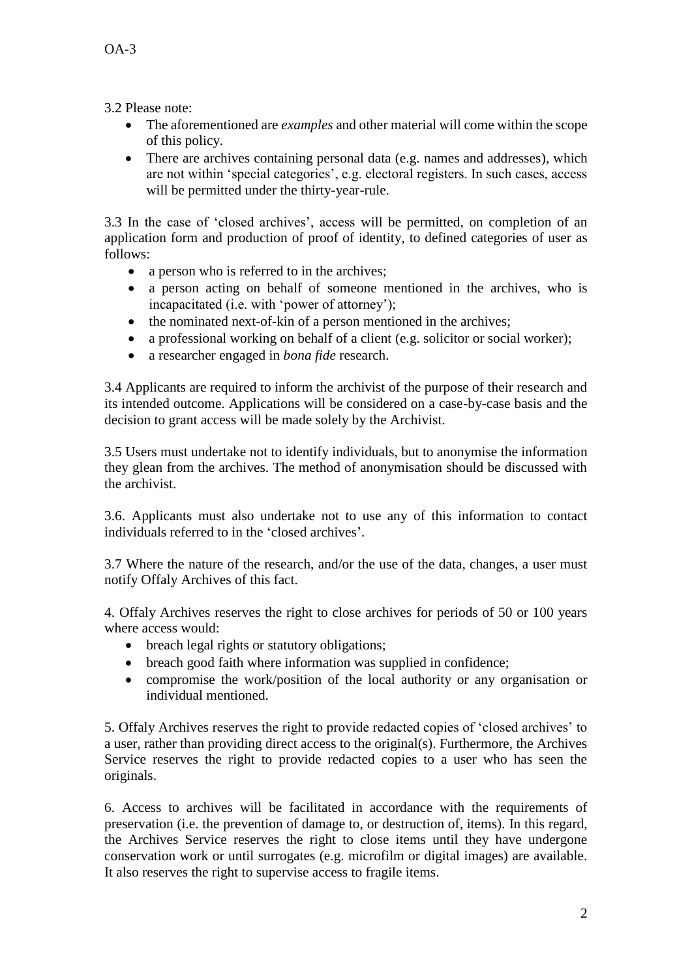3.2 Please note:

- The aforementioned are *examples* and other material will come within the scope of this policy.
- There are archives containing personal data (e.g. names and addresses), which are not within 'special categories', e.g. electoral registers. In such cases, access will be permitted under the thirty-year-rule.

3.3 In the case of 'closed archives', access will be permitted, on completion of an application form and production of proof of identity, to defined categories of user as follows:

- a person who is referred to in the archives;
- a person acting on behalf of someone mentioned in the archives, who is incapacitated (i.e. with 'power of attorney');
- the nominated next-of-kin of a person mentioned in the archives;
- a professional working on behalf of a client (e.g. solicitor or social worker);
- a researcher engaged in *bona fide* research.

3.4 Applicants are required to inform the archivist of the purpose of their research and its intended outcome. Applications will be considered on a case-by-case basis and the decision to grant access will be made solely by the Archivist.

3.5 Users must undertake not to identify individuals, but to anonymise the information they glean from the archives. The method of anonymisation should be discussed with the archivist.

3.6. Applicants must also undertake not to use any of this information to contact individuals referred to in the 'closed archives'.

3.7 Where the nature of the research, and/or the use of the data, changes, a user must notify Offaly Archives of this fact.

4. Offaly Archives reserves the right to close archives for periods of 50 or 100 years where access would:

- breach legal rights or statutory obligations;
- breach good faith where information was supplied in confidence;
- compromise the work/position of the local authority or any organisation or individual mentioned.

5. Offaly Archives reserves the right to provide redacted copies of 'closed archives' to a user, rather than providing direct access to the original(s). Furthermore, the Archives Service reserves the right to provide redacted copies to a user who has seen the originals.

6. Access to archives will be facilitated in accordance with the requirements of preservation (i.e. the prevention of damage to, or destruction of, items). In this regard, the Archives Service reserves the right to close items until they have undergone conservation work or until surrogates (e.g. microfilm or digital images) are available. It also reserves the right to supervise access to fragile items.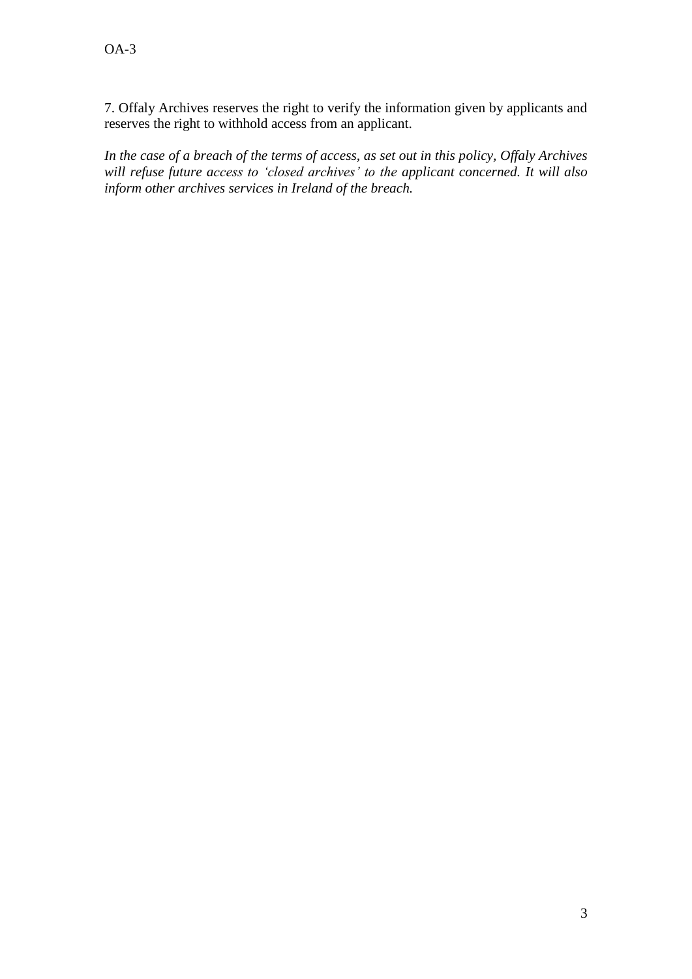7. Offaly Archives reserves the right to verify the information given by applicants and reserves the right to withhold access from an applicant.

*In the case of a breach of the terms of access, as set out in this policy, Offaly Archives will refuse future access to 'closed archives' to the applicant concerned. It will also inform other archives services in Ireland of the breach.*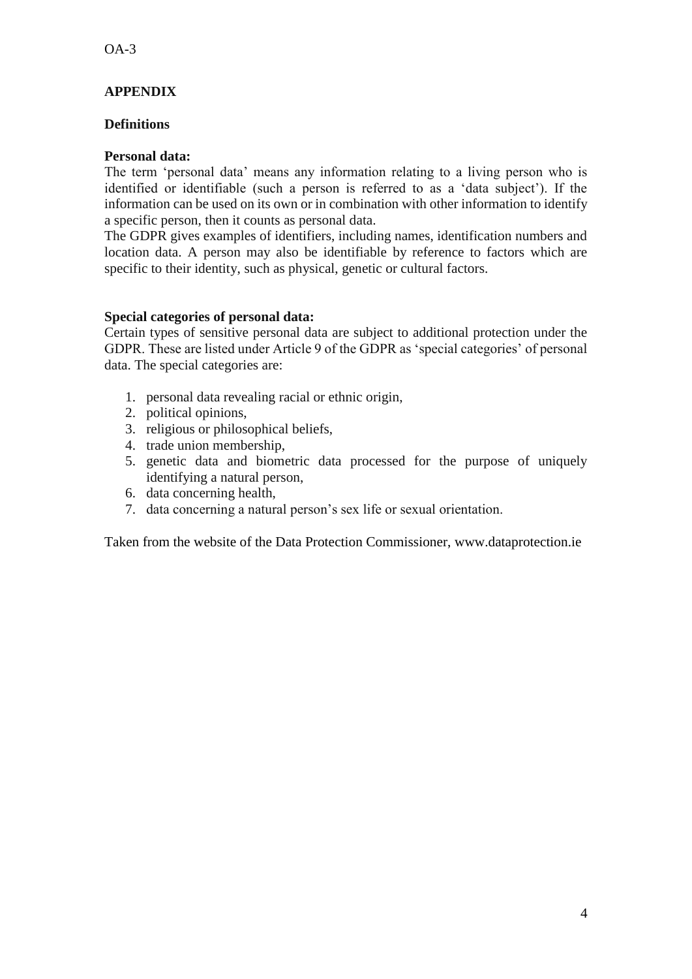### **APPENDIX**

### **Definitions**

### **Personal data:**

The term 'personal data' means any information relating to a living person who is identified or identifiable (such a person is referred to as a 'data subject'). If the information can be used on its own or in combination with other information to identify a specific person, then it counts as personal data.

The GDPR gives examples of identifiers, including names, identification numbers and location data. A person may also be identifiable by reference to factors which are specific to their identity, such as physical, genetic or cultural factors.

#### **Special categories of personal data:**

Certain types of sensitive personal data are subject to additional protection under the GDPR. These are listed under Article 9 of the GDPR as 'special categories' of personal data. The special categories are:

- 1. personal data revealing racial or ethnic origin,
- 2. political opinions,
- 3. religious or philosophical beliefs,
- 4. trade union membership,
- 5. genetic data and biometric data processed for the purpose of uniquely identifying a natural person,
- 6. data concerning health,
- 7. data concerning a natural person's sex life or sexual orientation.

Taken from the website of the Data Protection Commissioner, [www.dataprotection.ie](http://www.dataprotection.ie/)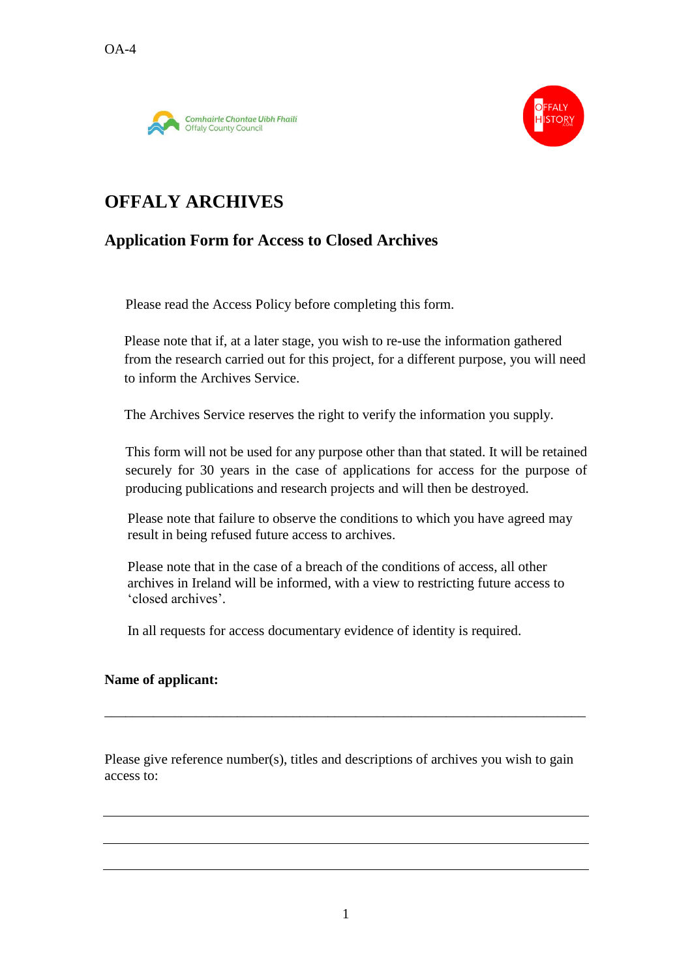



# **OFFALY ARCHIVES**

### **Application Form for Access to Closed Archives**

Please read the Access Policy before completing this form.

Please note that if, at a later stage, you wish to re-use the information gathered from the research carried out for this project, for a different purpose, you will need to inform the Archives Service.

The Archives Service reserves the right to verify the information you supply.

This form will not be used for any purpose other than that stated. It will be retained securely for 30 years in the case of applications for access for the purpose of producing publications and research projects and will then be destroyed.

Please note that failure to observe the conditions to which you have agreed may result in being refused future access to archives.

Please note that in the case of a breach of the conditions of access, all other archives in Ireland will be informed, with a view to restricting future access to 'closed archives'.

In all requests for access documentary evidence of identity is required.

### **Name of applicant:**

Please give reference number(s), titles and descriptions of archives you wish to gain access to:

\_\_\_\_\_\_\_\_\_\_\_\_\_\_\_\_\_\_\_\_\_\_\_\_\_\_\_\_\_\_\_\_\_\_\_\_\_\_\_\_\_\_\_\_\_\_\_\_\_\_\_\_\_\_\_\_\_\_\_\_\_\_\_\_\_\_\_\_\_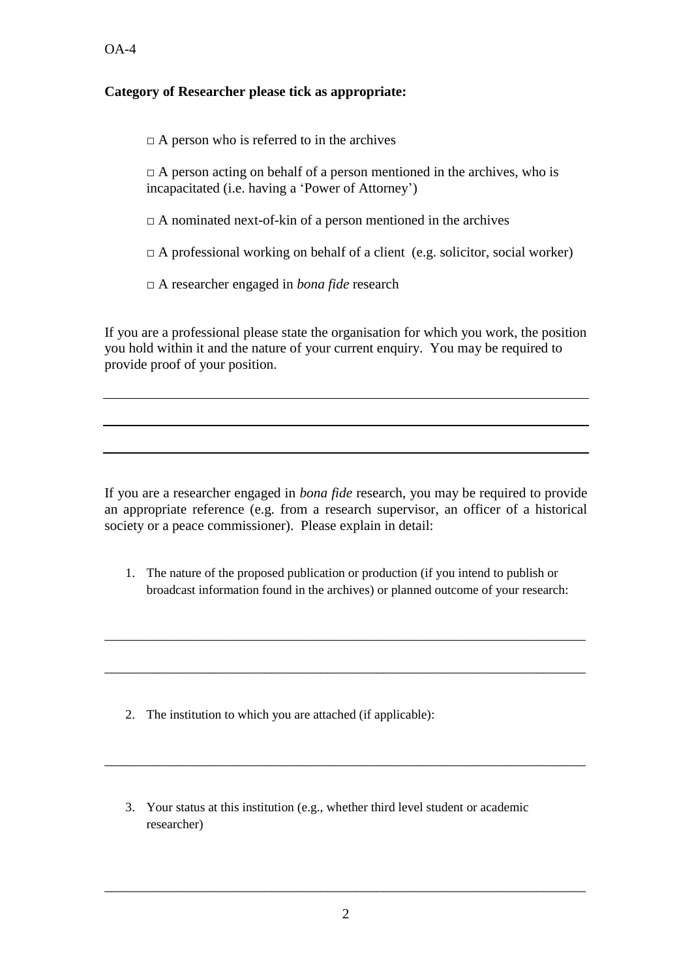$OA-4$ 

### **Category of Researcher please tick as appropriate:**

 $\Box$  A person who is referred to in the archives

 $\Box$  A person acting on behalf of a person mentioned in the archives, who is incapacitated (i.e. having a 'Power of Attorney')

 $\Box$  A nominated next-of-kin of a person mentioned in the archives

 $\Box$  A professional working on behalf of a client (e.g. solicitor, social worker)

□ A researcher engaged in *bona fide* research

If you are a professional please state the organisation for which you work, the position you hold within it and the nature of your current enquiry. You may be required to provide proof of your position.

If you are a researcher engaged in *bona fide* research, you may be required to provide an appropriate reference (e.g. from a research supervisor, an officer of a historical society or a peace commissioner). Please explain in detail:

1. The nature of the proposed publication or production (if you intend to publish or broadcast information found in the archives) or planned outcome of your research:

\_\_\_\_\_\_\_\_\_\_\_\_\_\_\_\_\_\_\_\_\_\_\_\_\_\_\_\_\_\_\_\_\_\_\_\_\_\_\_\_\_\_\_\_\_\_\_\_\_\_\_\_\_\_\_\_\_\_\_\_\_\_\_\_\_\_\_\_\_

\_\_\_\_\_\_\_\_\_\_\_\_\_\_\_\_\_\_\_\_\_\_\_\_\_\_\_\_\_\_\_\_\_\_\_\_\_\_\_\_\_\_\_\_\_\_\_\_\_\_\_\_\_\_\_\_\_\_\_\_\_\_\_\_\_\_\_\_\_

\_\_\_\_\_\_\_\_\_\_\_\_\_\_\_\_\_\_\_\_\_\_\_\_\_\_\_\_\_\_\_\_\_\_\_\_\_\_\_\_\_\_\_\_\_\_\_\_\_\_\_\_\_\_\_\_\_\_\_\_\_\_\_\_\_\_\_\_\_

- 2. The institution to which you are attached (if applicable):
- 3. Your status at this institution (e.g., whether third level student or academic researcher)

\_\_\_\_\_\_\_\_\_\_\_\_\_\_\_\_\_\_\_\_\_\_\_\_\_\_\_\_\_\_\_\_\_\_\_\_\_\_\_\_\_\_\_\_\_\_\_\_\_\_\_\_\_\_\_\_\_\_\_\_\_\_\_\_\_\_\_\_\_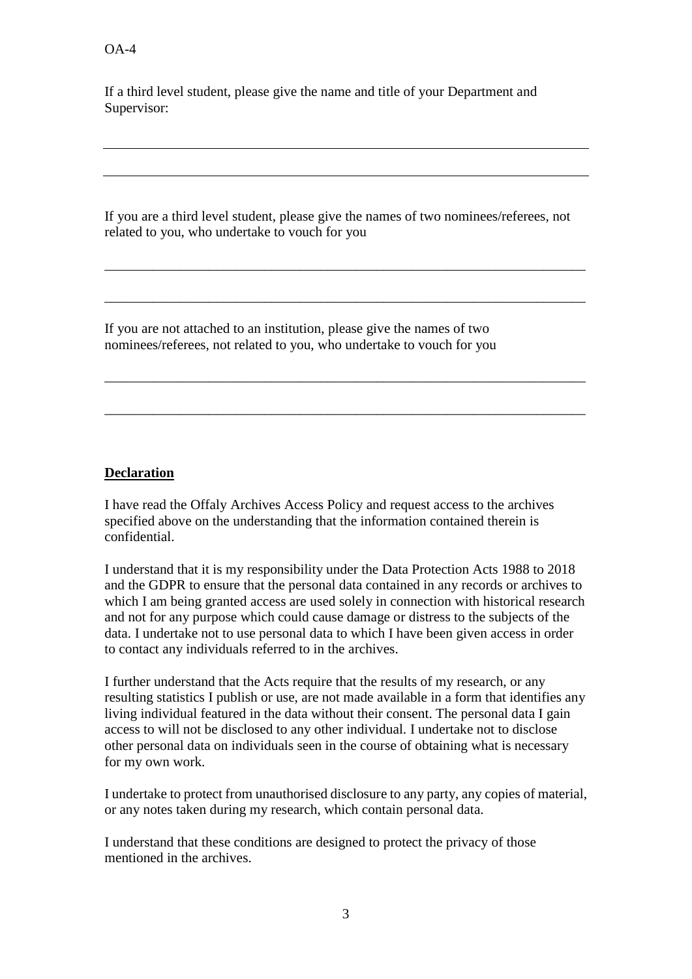If a third level student, please give the name and title of your Department and Supervisor:

If you are a third level student, please give the names of two nominees/referees, not related to you, who undertake to vouch for you

\_\_\_\_\_\_\_\_\_\_\_\_\_\_\_\_\_\_\_\_\_\_\_\_\_\_\_\_\_\_\_\_\_\_\_\_\_\_\_\_\_\_\_\_\_\_\_\_\_\_\_\_\_\_\_\_\_\_\_\_\_\_\_\_\_\_\_\_\_

\_\_\_\_\_\_\_\_\_\_\_\_\_\_\_\_\_\_\_\_\_\_\_\_\_\_\_\_\_\_\_\_\_\_\_\_\_\_\_\_\_\_\_\_\_\_\_\_\_\_\_\_\_\_\_\_\_\_\_\_\_\_\_\_\_\_\_\_\_

\_\_\_\_\_\_\_\_\_\_\_\_\_\_\_\_\_\_\_\_\_\_\_\_\_\_\_\_\_\_\_\_\_\_\_\_\_\_\_\_\_\_\_\_\_\_\_\_\_\_\_\_\_\_\_\_\_\_\_\_\_\_\_\_\_\_\_\_\_

\_\_\_\_\_\_\_\_\_\_\_\_\_\_\_\_\_\_\_\_\_\_\_\_\_\_\_\_\_\_\_\_\_\_\_\_\_\_\_\_\_\_\_\_\_\_\_\_\_\_\_\_\_\_\_\_\_\_\_\_\_\_\_\_\_\_\_\_\_

If you are not attached to an institution, please give the names of two nominees/referees, not related to you, who undertake to vouch for you

### **Declaration**

I have read the Offaly Archives Access Policy and request access to the archives specified above on the understanding that the information contained therein is confidential.

I understand that it is my responsibility under the Data Protection Acts 1988 to 2018 and the GDPR to ensure that the personal data contained in any records or archives to which I am being granted access are used solely in connection with historical research and not for any purpose which could cause damage or distress to the subjects of the data. I undertake not to use personal data to which I have been given access in order to contact any individuals referred to in the archives.

I further understand that the Acts require that the results of my research, or any resulting statistics I publish or use, are not made available in a form that identifies any living individual featured in the data without their consent. The personal data I gain access to will not be disclosed to any other individual. I undertake not to disclose other personal data on individuals seen in the course of obtaining what is necessary for my own work.

I undertake to protect from unauthorised disclosure to any party, any copies of material, or any notes taken during my research, which contain personal data.

I understand that these conditions are designed to protect the privacy of those mentioned in the archives.